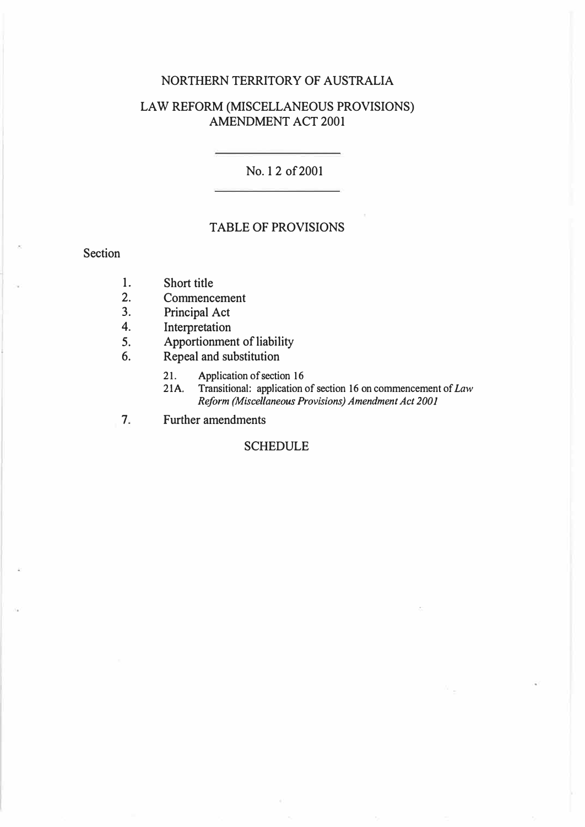## NORTHERN TERRITORY OF AUSTRALIA

## LAW REFORM (MISCELLANEOUS PROVISIONS) AMENDMENT ACT2001

No. 12 of2001

## TABLE OF PROVISIONS

Section

- 1. Short title<br>2. Commence
- 2. Commencement<br>3. Principal Act
- 3. Principal Act<br>4. Interpretation
- 4. Interpretation<br>5. Apportionmer
- Apportionment of liability
- 6. Repeal and substitution
	- 21. Application of section 16<br>21A. Transitional: application of
	- 21A. Transitional: application of section 16 on commencement of *Law Reform (Miscellaneous Provisions) Amendment Act 2001*
- 7. Further amendments

## **SCHEDULE**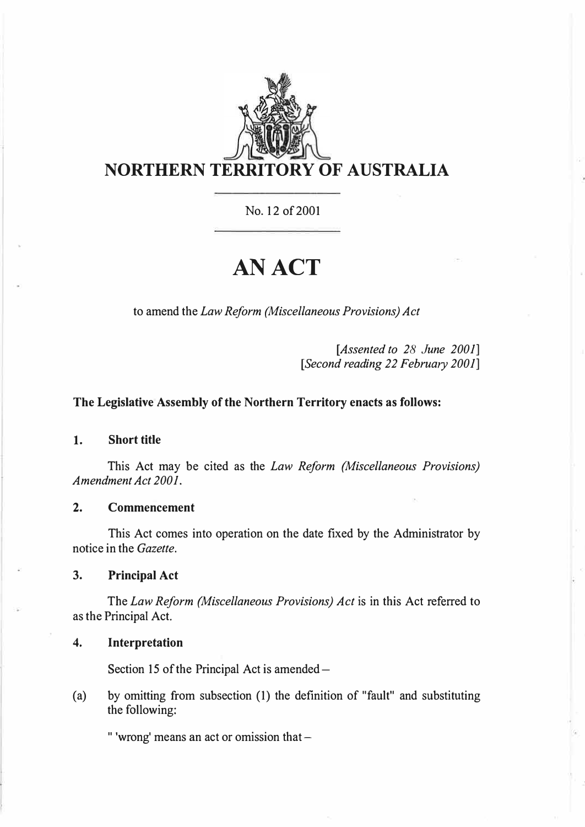

No. 12 of 2001

# **AN ACT**

to amend the *Law Reform (Miscellaneous Provisions) Act* 

*[Assented to 28 June 2001] [Second reading 22 February 2001]* 

#### **The Legislative Assembly of the Northern Territory enacts as follows:**

#### **1. Short title**

This Act may be cited as the *Law Reform {Miscellaneous Provisions) Amendment Act 2001.* 

## **2. Commencement**

This Act comes into operation on the date fixed by the Administrator by notice in the *Gazette.* 

**3. Principal Act**

The *Law Reform (Miscellaneous Provisions) Act* is in this Act referred to as the Principal Act.

#### **4. Interpretation**

Section 15 of the Principal Act is amended -

( a) by omitting from subsection (1) the definition of "fault" and substituting the following:

" 'wrong' means an act or omission that  $-$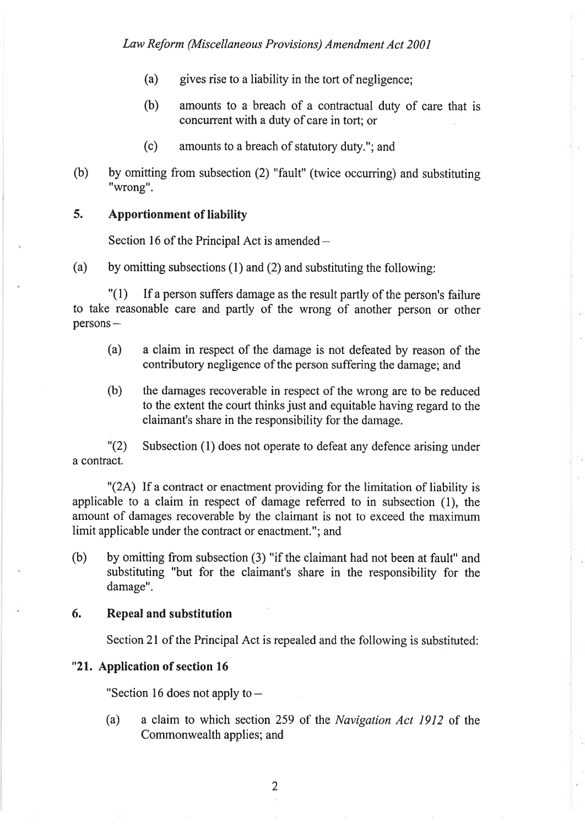- (a) gives rise to a liability in the tort of negligence;
- (b) amounts to a breach of a contractual duty of care that is concurrent with a duty of care in tort; or
- (c) amounts to a breach of statutory duty."; and
- (b) by omitting from subsection (2) "fault" (twice occurring) and substituting "wrong",

#### 5. Apportionment of liability

Section 16 of the Principal Act is amended  $-$ 

(a) by omitting subsections (1) and (2) and substituting the following:

"(1) If a person suffers damage as the result partly of the person's failure to take reasonable care and partly of the wrong of another person or other  $persons -$ 

- (a) a claim in respect of the damage is not defeated by reason of the contributory negligence of the person suffering the damage; and
- (b) the damages recoverable in respect of the wrong are to be reduced to the extent the court thinks just and equitable having regard to the claimant's share in the responsibility for the damage.

"(2) Subsection (l) does not operate to defeat any defence arising under a contract.

"(24) If a contract or enactment providing for the limitation of liability is applicable to a claim in respect of damage refened to in subsection (l), the amount of damages recoverable by the claimant is not to exceed the maximum limit applicable under the contract or enactment."; and

(b) by omitting from subsection (3) "if the claimant had not been at fault" and substituting "but for the claimant's share in the responsibility for the damage".

## 6. Repeal and substitution

Section 2l of the Principal Act is repealed and the following is substituted:

## "21. Application of section 16

"Section 16 does not apply to  $-$ 

(a) a claim to which section 259 of the *Navigation Act 1912* of the Commonwealth applies; and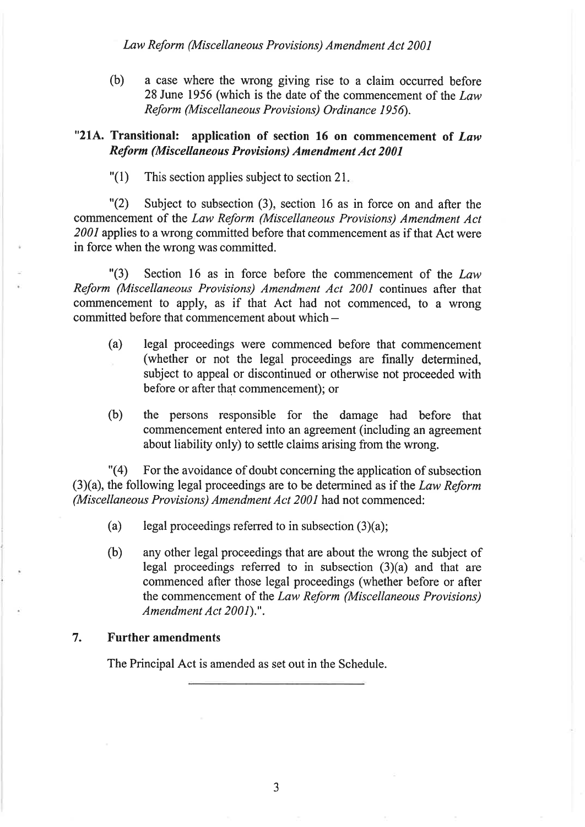Law Reform (Miscellaneous Provisions) Amendment Act 2001

(b) <sup>a</sup>case where the wrong giving rise to a claim occurred before 28 June 1956 (which is the date of the commencement of the  $Law$ Reform (Miscellaneous Provisions) Ordinance 1956).

## "21A. Transitional: application of section 16 on commencement of Law Reform (Miscellaneous Provisions) Amendment Act 2001

 $"(1)$  This section applies subject to section 21.

"(2) Subject to subsection (3), section 16 as in force on and after the commencement of the Law Reform (Miscellaneous Provisions) Amendment Act 2001 applies to a wrong committed before that commencement as if that Act were in force when the wrong was committed.

"(3) Section 16 as in force before the commencement of the  $Law$ Reform (Miscellaneous Provisions) Amendment Act 2001 continues after that commencement to apply, as if that Act had not commenced, to a wrong committed before that commencement about which-

- (a) legal proceedings were commenced before that commencement (whether or not the legal proceedings are frnally determined, subject to appeal or discontinued or otherwise not proceeded with before or after that commencement); or
- (b) the persons responsible for the damage had before that commencement entered into an agreement (including an agreement about liability only) to settle claims arising from the wrong.

"(4) For the avoidance of doubt conceming the application of subsection  $(3)(a)$ , the following legal proceedings are to be determined as if the Law Reform (Miscellaneous Provisions) Amendment Act 2001 had not commenced:

- (a) legal proceedings referred to in subsection  $(3)(a)$ ;
- (b) any other legal proceedings that are about the wrong the subject of legal proceedings refened to in subsection (3)(a) and that are commenced after those legal proceedings (whether before or after the commencement of the Law Reform (Miscellaneous Provisions) Amendment Act 2001).".

#### 7. Further amendments

The Principal Act is amended as set out in the Schedule.